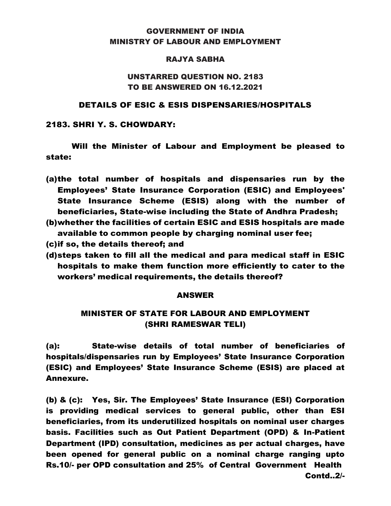# GOVERNMENT OF INDIA MINISTRY OF LABOUR AND EMPLOYMENT

### RAJYA SABHA

# UNSTARRED QUESTION NO. 2183 TO BE ANSWERED ON 16.12.2021

#### DETAILS OF ESIC & ESIS DISPENSARIES/HOSPITALS

### 2183. SHRI Y. S. CHOWDARY:

Will the Minister of Labour and Employment be pleased to state:

- (a)the total number of hospitals and dispensaries run by the Employees' State Insurance Corporation (ESIC) and Employees' State Insurance Scheme (ESIS) along with the number of beneficiaries, State-wise including the State of Andhra Pradesh;
- (b)whether the facilities of certain ESIC and ESIS hospitals are made available to common people by charging nominal user fee;
- (c)if so, the details thereof; and
- (d)steps taken to fill all the medical and para medical staff in ESIC hospitals to make them function more efficiently to cater to the workers' medical requirements, the details thereof?

## ANSWER

# MINISTER OF STATE FOR LABOUR AND EMPLOYMENT (SHRI RAMESWAR TELI)

(a): State-wise details of total number of beneficiaries of hospitals/dispensaries run by Employees' State Insurance Corporation (ESIC) and Employees' State Insurance Scheme (ESIS) are placed at Annexure.

(b) & (c): Yes, Sir. The Employees' State Insurance (ESI) Corporation is providing medical services to general public, other than ESI beneficiaries, from its underutilized hospitals on nominal user charges basis. Facilities such as Out Patient Department (OPD) & In-Patient Department (IPD) consultation, medicines as per actual charges, have been opened for general public on a nominal charge ranging upto Rs.10/- per OPD consultation and 25% of Central Government Health Contd..2/-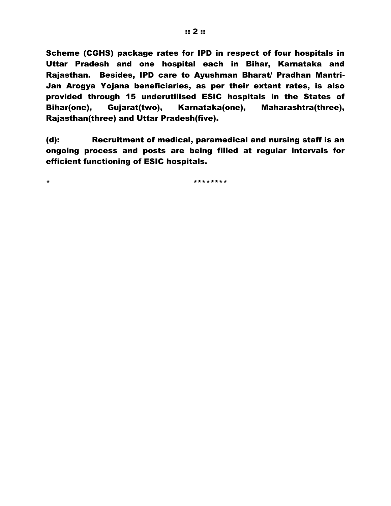Scheme (CGHS) package rates for IPD in respect of four hospitals in Uttar Pradesh and one hospital each in Bihar, Karnataka and Rajasthan. Besides, IPD care to Ayushman Bharat/ Pradhan Mantri-Jan Arogya Yojana beneficiaries, as per their extant rates, is also provided through 15 underutilised ESIC hospitals in the States of Bihar(one), Gujarat(two), Karnataka(one), Maharashtra(three), Rajasthan(three) and Uttar Pradesh(five).

(d): Recruitment of medical, paramedical and nursing staff is an ongoing process and posts are being filled at regular intervals for efficient functioning of ESIC hospitals.

\* \*\*\*\*\*\*\*\*